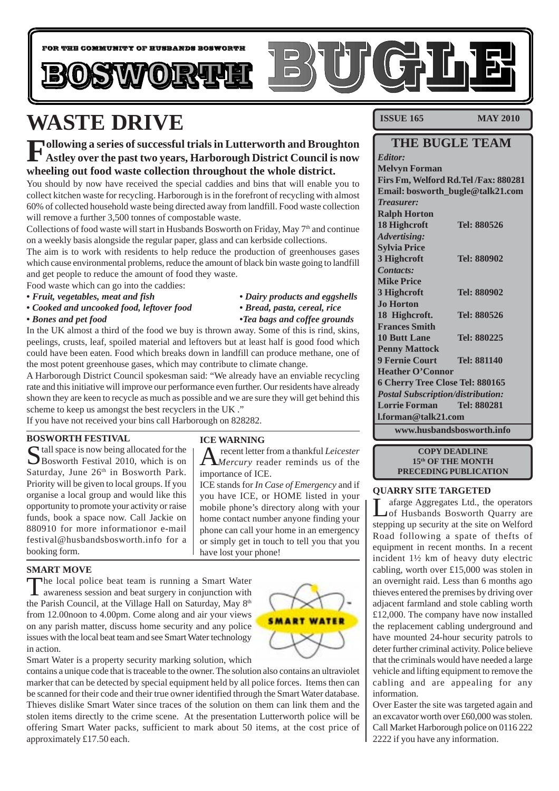

# **WASTE DRIVE**

**Following a series of successful trials in Lutterworth and Broughton Astley over the past two years, Harborough District Council is now wheeling out food waste collection throughout the whole district.**

You should by now have received the special caddies and bins that will enable you to collect kitchen waste for recycling. Harborough is in the forefront of recycling with almost 60% of collected household waste being directed away from landfill. Food waste collection will remove a further 3,500 tonnes of compostable waste.

Collections of food waste will start in Husbands Bosworth on Friday, May  $7<sup>th</sup>$  and continue on a weekly basis alongside the regular paper, glass and can kerbside collections.

The aim is to work with residents to help reduce the production of greenhouses gases which cause environmental problems, reduce the amount of black bin waste going to landfill and get people to reduce the amount of food they waste.

Food waste which can go into the caddies:

- 
- **•** *Cooked and uncooked food, leftover food* *Bread, pasta, cereal, rice*
- 
- **•** *Fruit, vegetables, meat and fish* *Dairy products and eggshells*
	-

**•** *Bones and pet food* **•***Tea bags and coffee grounds*

In the UK almost a third of the food we buy is thrown away. Some of this is rind, skins, peelings, crusts, leaf, spoiled material and leftovers but at least half is good food which could have been eaten. Food which breaks down in landfill can produce methane, one of the most potent greenhouse gases, which may contribute to climate change.

A Harborough District Council spokesman said: "We already have an enviable recycling rate and this initiative will improve our performance even further. Our residents have already shown they are keen to recycle as much as possible and we are sure they will get behind this scheme to keep us amongst the best recyclers in the UK ."

If you have not received your bins call Harborough on 828282.

#### **BOSWORTH FESTIVAL**

 $\blacksquare$  tall space is now being allocated for the Bosworth Festival 2010, which is on Saturday, June 26<sup>th</sup> in Bosworth Park. Priority will be given to local groups. If you organise a local group and would like this opportunity to promote your activity or raise funds, book a space now. Call Jackie on 880910 for more informationor e-mail festival@husbandsbosworth.info for a booking form.

#### **ICE WARNING**

A recent letter from a thankful *Leicester Mercury* reader reminds us of the importance of ICE.

ICE stands for *In Case of Emergency* and if you have ICE, or HOME listed in your mobile phone's directory along with your home contact number anyone finding your phone can call your home in an emergency or simply get in touch to tell you that you have lost your phone!

#### **SMART MOVE**

The local police beat team is running a Smart Water awareness session and beat surgery in conjunction with the Parish Council, at the Village Hall on Saturday, May 8<sup>th</sup> from 12.00noon to 4.00pm. Come along and air your views on any parish matter, discuss home security and any police issues with the local beat team and see Smart Water technology in action.



Smart Water is a property security marking solution, which

contains a unique code that is traceable to the owner. The solution also contains an ultraviolet marker that can be detected by special equipment held by all police forces. Items then can be scanned for their code and their true owner identified through the Smart Water database. Thieves dislike Smart Water since traces of the solution on them can link them and the stolen items directly to the crime scene. At the presentation Lutterworth police will be offering Smart Water packs, sufficient to mark about 50 items, at the cost price of approximately £17.50 each.

**ISSUE 165 MAY 2010** 

#### **THE BUGLE TEAM** *Editor:* **Melvyn Forman**

**Firs Fm, Welford Rd.Tel /Fax: 880281 Email: bosworth\_bugle@talk21.com** *Treasurer:* **Ralph Horton 18 Highcroft Tel: 880526** *Advertising:* **Sylvia Price 3 Highcroft Tel: 880902** *Contacts:* **Mike Price 3 Highcroft Tel: 880902 Jo Horton 18 Highcroft. Tel: 880526 Frances Smith 10 Butt Lane Tel: 880225 Penny Mattock 9 Fernie Court Tel: 881140 Heather O'Connor 6 Cherry Tree Close Tel: 880165** *Postal Subscription/distribution:* **Lorrie Forman Tel: 880281 l.forman@talk21.com www.husbandsbosworth.info**

> **COPY DEADLINE 15th OF THE MONTH PRECEDING PUBLICATION**

#### **QUARRY SITE TARGETED**

Lafarge Aggregates Ltd., the operators of Husbands Bosworth Quarry are stepping up security at the site on Welford Road following a spate of thefts of equipment in recent months. In a recent incident 1½ km of heavy duty electric cabling, worth over £15,000 was stolen in an overnight raid. Less than 6 months ago thieves entered the premises by driving over adjacent farmland and stole cabling worth £12,000. The company have now installed the replacement cabling underground and have mounted 24-hour security patrols to deter further criminal activity. Police believe that the criminals would have needed a large vehicle and lifting equipment to remove the cabling and are appealing for any information.

Over Easter the site was targeted again and an excavator worth over £60,000 was stolen. Call Market Harborough police on 0116 222 2222 if you have any information.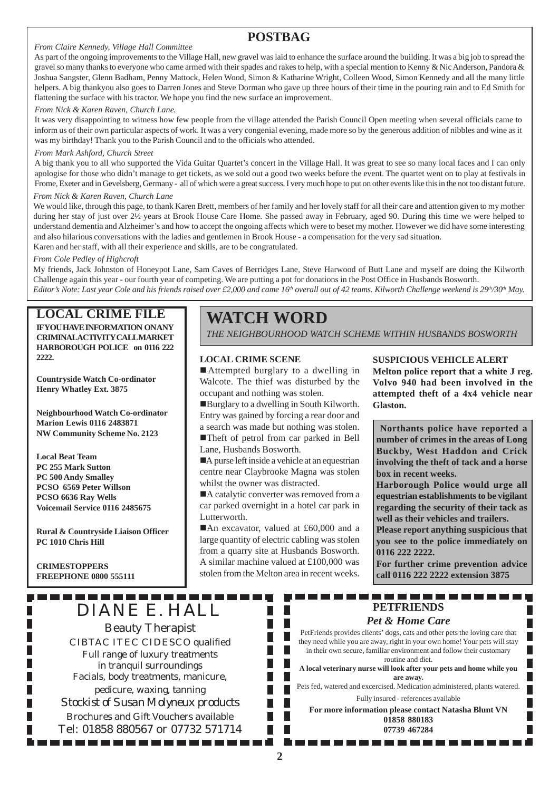### **POSTBAG**

#### *From Claire Kennedy, Village Hall Committee*

As part of the ongoing improvements to the Village Hall, new gravel was laid to enhance the surface around the building. It was a big job to spread the gravel so many thanks to everyone who came armed with their spades and rakes to help, with a special mention to Kenny & Nic Anderson, Pandora & Joshua Sangster, Glenn Badham, Penny Mattock, Helen Wood, Simon & Katharine Wright, Colleen Wood, Simon Kennedy and all the many little helpers. A big thankyou also goes to Darren Jones and Steve Dorman who gave up three hours of their time in the pouring rain and to Ed Smith for flattening the surface with his tractor. We hope you find the new surface an improvement.

#### *From Nick & Karen Raven, Church Lane.*

It was very disappointing to witness how few people from the village attended the Parish Council Open meeting when several officials came to inform us of their own particular aspects of work. It was a very congenial evening, made more so by the generous addition of nibbles and wine as it was my birthday! Thank you to the Parish Council and to the officials who attended.

#### *From Mark Ashford, Church Street*

A big thank you to all who supported the Vida Guitar Quartet's concert in the Village Hall. It was great to see so many local faces and I can only apologise for those who didn't manage to get tickets, as we sold out a good two weeks before the event. The quartet went on to play at festivals in Frome, Exeter and in Gevelsberg, Germany - all of which were a great success. I very much hope to put on other events like this in the not too distant future.

#### *From Nick & Karen Raven, Church Lane*

We would like, through this page, to thank Karen Brett, members of her family and her lovely staff for all their care and attention given to my mother during her stay of just over 2½ years at Brook House Care Home. She passed away in February, aged 90. During this time we were helped to understand dementia and Alzheimer's and how to accept the ongoing affects which were to beset my mother. However we did have some interesting and also hilarious conversations with the ladies and gentlemen in Brook House - a compensation for the very sad situation. Karen and her staff, with all their experience and skills, are to be congratulated.

#### *From Cole Pedley of Highcroft*

My friends, Jack Johnston of Honeypot Lane, Sam Caves of Berridges Lane, Steve Harwood of Butt Lane and myself are doing the Kilworth Challenge again this year - our fourth year of competing. We are putting a pot for donations in the Post Office in Husbands Bosworth. *Editor's Note: Last year Cole and his friends raised over £2,000 and came 16<sup>th</sup> overall out of 42 teams. Kilworth Challenge weekend is 29<sup>th</sup>/30<sup>th</sup> May.* 

#### **LOCAL CRIME FILE IF YOU HAVE INFORMATION ON ANY CRIMINAL ACTIVITY CALL MARKET HARBOROUGH POLICE on 0116 222 2222.**

**Countryside Watch Co-ordinator Henry Whatley Ext. 3875**

**Neighbourhood Watch Co-ordinator Marion Lewis 0116 2483871 NW Community Scheme No. 2123**

**Local Beat Team PC 255 Mark Sutton PC 500 Andy Smalley PCSO 6569 Peter Willson PCSO 6636 Ray Wells Voicemail Service 0116 2485675**

**Rural & Countryside Liaison Officer PC 1010 Chris Hill**

**CRIMESTOPPERS FREEPHONE 0800 555111**

## **WATCH WORD**

*THE NEIGHBOURHOOD WATCH SCHEME WITHIN HUSBANDS BOSWORTH*

#### **LOCAL CRIME SCENE**

■ Attempted burglary to a dwelling in Walcote. The thief was disturbed by the occupant and nothing was stolen.

!Burglary to a dwelling in South Kilworth. Entry was gained by forcing a rear door and a search was made but nothing was stolen. !Theft of petrol from car parked in Bell Lane, Husbands Bosworth.

A purse left inside a vehicle at an equestrian centre near Claybrooke Magna was stolen whilst the owner was distracted.

A catalytic converter was removed from a car parked overnight in a hotel car park in Lutterworth.

■An excavator, valued at £60,000 and a large quantity of electric cabling was stolen from a quarry site at Husbands Bosworth. A similar machine valued at £100,000 was stolen from the Melton area in recent weeks.

> н Г П

\_\_\_\_\_

#### **SUSPICIOUS VEHICLE ALERT**

**Melton police report that a white J reg. Volvo 940 had been involved in the attempted theft of a 4x4 vehicle near Glaston.**

**Northants police have reported a number of crimes in the areas of Long Buckby, West Haddon and Crick involving the theft of tack and a horse box in recent weeks.**

**Harborough Police would urge all equestrian establishments to be vigilant regarding the security of their tack as well as their vehicles and trailers.**

**Please report anything suspicious that you see to the police immediately on 0116 222 2222.**

**For further crime prevention advice call 0116 222 2222 extension 3875**

Г

# DIANE E. HALL

Beauty Therapist CIBTAC ITEC CIDESCO qualified Full range of luxury treatments in tranquil surroundings Facials, body treatments, manicure, pedicure, waxing, tanning *Stockist of Susan Molyneux products* Brochures and Gift Vouchers available Tel: 01858 880567 or 07732 571714

# **PETFRIENDS**

#### *Pet & Home Care*

PetFriends provides clients' dogs, cats and other pets the loving care that they need while you are away, right in your own home! Your pets will stay in their own secure, familiar environment and follow their customary routine and diet.

**A local veterinary nurse will look after your pets and home while you are away.**

Pets fed, watered and excercised. Medication administered, plants watered. Fully insured - references available

**For more information please contact Natasha Blunt VN 01858 880183 07739 467284**

. . . . . . . . . . . .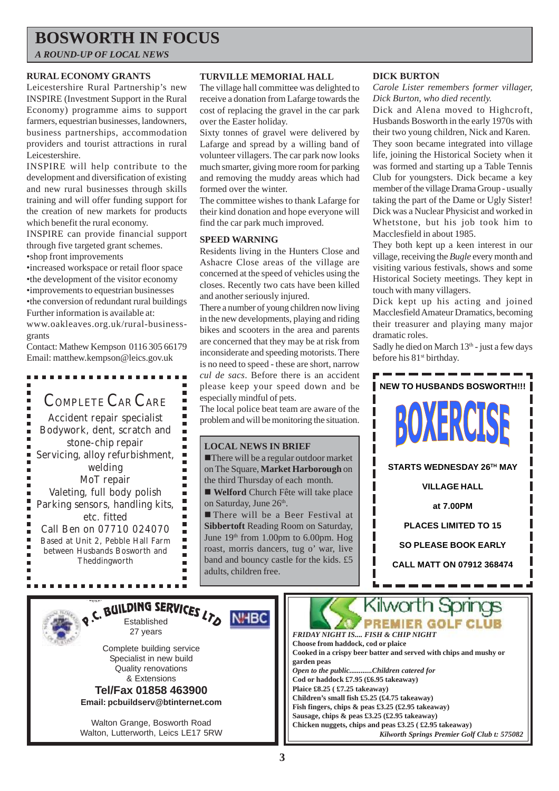# **BOSWORTH IN FOCUS**

*A ROUND-UP OF LOCAL NEWS*

#### **RURAL ECONOMY GRANTS**

Leicestershire Rural Partnership's new INSPIRE (Investment Support in the Rural Economy) programme aims to support farmers, equestrian businesses, landowners, business partnerships, accommodation providers and tourist attractions in rural Leicestershire.

INSPIRE will help contribute to the development and diversification of existing and new rural businesses through skills training and will offer funding support for the creation of new markets for products which benefit the rural economy.

INSPIRE can provide financial support through five targeted grant schemes. •shop front improvements

•increased workspace or retail floor space

•the development of the visitor economy

•improvements to equestrian businesses

•the conversion of redundant rural buildings Further information is available at:

www.oakleaves.org.uk/rural-businessgrants

Contact: Mathew Kempson 0116 305 66179 Email: matthew.kempson@leics.gov.uk

# COMPLETE CAR CARE

-----------

Accident repair specialist Bodywork, dent, scratch and stone-chip repair Servicing, alloy refurbishment, welding MoT repair Valeting, full body polish Parking sensors, handling kits, etc. fitted Call Ben on 07710 024070 Based at Unit 2, Pebble Hall Farm between Husbands Bosworth and Theddingworth

---------

#### **TURVILLE MEMORIAL HALL**

The village hall committee was delighted to receive a donation from Lafarge towards the cost of replacing the gravel in the car park over the Easter holiday.

Sixty tonnes of gravel were delivered by Lafarge and spread by a willing band of volunteer villagers. The car park now looks much smarter, giving more room for parking and removing the muddy areas which had formed over the winter.

The committee wishes to thank Lafarge for their kind donation and hope everyone will find the car park much improved.

#### **SPEED WARNING**

Residents living in the Hunters Close and Ashacre Close areas of the village are concerned at the speed of vehicles using the closes. Recently two cats have been killed and another seriously injured.

There a number of young children now living in the new developments, playing and riding bikes and scooters in the area and parents are concerned that they may be at risk from inconsiderate and speeding motorists. There is no need to speed - these are short, narrow *cul de sacs*. Before there is an accident please keep your speed down and be especially mindful of pets.

The local police beat team are aware of the problem and will be monitoring the situation.

#### **LOCAL NEWS IN BRIEF**

**NHBC** 

**There will be a regular outdoor market** on The Square, **Market Harborough** on the third Thursday of each month.

■ **Welford** Church Fête will take place on Saturday, June 26<sup>th</sup>.

**There will be a Beer Festival at Sibbertoft** Reading Room on Saturday, June  $19<sup>th</sup>$  from 1.00pm to 6.00pm. Hog roast, morris dancers, tug o' war, live band and bouncy castle for the kids. £5 adults, children free.

#### **DICK BURTON**

*Carole Lister remembers former villager, Dick Burton, who died recently.*

Dick and Alena moved to Highcroft, Husbands Bosworth in the early 1970s with their two young children, Nick and Karen.

They soon became integrated into village life, joining the Historical Society when it was formed and starting up a Table Tennis Club for youngsters. Dick became a key member of the village Drama Group - usually taking the part of the Dame or Ugly Sister! Dick was a Nuclear Physicist and worked in Whetstone, but his job took him to Macclesfield in about 1985.

They both kept up a keen interest in our village, receiving the *Bugle* every month and visiting various festivals, shows and some Historical Society meetings. They kept in touch with many villagers.

Dick kept up his acting and joined Macclesfield Amateur Dramatics, becoming their treasurer and playing many major dramatic roles.

Sadly he died on March  $13<sup>th</sup>$  - just a few days before his 81<sup>st</sup> birthday.





**P. C. BUILDING SERVICES LTD** 27 years

a a

Ē

п

 $\blacksquare$ 

Ē.  $\blacksquare$ 

 $\blacksquare$ 

Н

Н

Complete building service Specialist in new build Quality renovations & Extensions

**Tel/Fax 01858 463900 Email: pcbuildserv@btinternet.com**

Walton Grange, Bosworth Road Walton, Lutterworth, Leics LE17 5RW



*FRIDAY NIGHT IS.... FISH & CHIP NIGHT* **Choose from haddock, cod or plaice Cooked in a crispy beer batter and served with chips and mushy or garden peas** *Open to the public............Children catered for* **Cod or haddock £7.95 (£6.95 takeaway) Plaice £8.25 ( £7.25 takeaway) Children's small fish £5.25 (£4.75 takeaway) Fish fingers, chips & peas £3.25 (£2.95 takeaway) Sausage, chips & peas £3.25 (£2.95 takeaway) Chicken nuggets, chips and peas £3.25 ( £2.95 takeaway)** *Kilworth Springs Premier Golf Club t: 575082*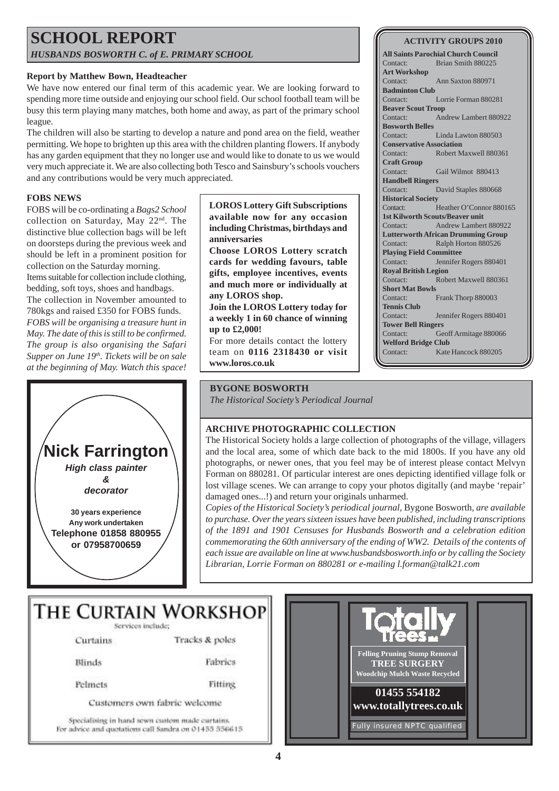#### **SCHOOL REPORT** *HUSBANDS BOSWORTH C. of E. PRIMARY SCHOOL*

#### **Report by Matthew Bown, Headteacher**

We have now entered our final term of this academic year. We are looking forward to spending more time outside and enjoying our school field. Our school football team will be busy this term playing many matches, both home and away, as part of the primary school league.

The children will also be starting to develop a nature and pond area on the field, weather permitting. We hope to brighten up this area with the children planting flowers. If anybody has any garden equipment that they no longer use and would like to donate to us we would very much appreciate it. We are also collecting both Tesco and Sainsbury's schools vouchers and any contributions would be very much appreciated.

#### **FOBS NEWS**

FOBS will be co-ordinating a *Bags2 School* collection on Saturday, May 22nd. The distinctive blue collection bags will be left on doorsteps during the previous week and should be left in a prominent position for collection on the Saturday morning. Items suitable for collection include clothing, bedding, soft toys, shoes and handbags. The collection in November amounted to 780kgs and raised £350 for FOBS funds. *FOBS will be organising a treasure hunt in May. The date of this is still to be confirmed. The group is also organising the Safari Supper on June 19th. Tickets will be on sale at the beginning of May. Watch this space!*



**LOROS Lottery Gift Subscriptions available now for any occasion including Christmas, birthdays and anniversaries**

**Choose LOROS Lottery scratch cards for wedding favours, table gifts, employee incentives, events and much more or individually at any LOROS shop.**

**Join the LOROS Lottery today for a weekly 1 in 60 chance of winning up to £2,000!**

For more details contact the lottery team on **0116 2318430 or visit www.loros.co.uk**

#### **BYGONE BOSWORTH**

*The Historical Society's Periodical Journal*

#### **ARCHIVE PHOTOGRAPHIC COLLECTION**

The Historical Society holds a large collection of photographs of the village, villagers and the local area, some of which date back to the mid 1800s. If you have any old photographs, or newer ones, that you feel may be of interest please contact Melvyn Forman on 880281. Of particular interest are ones depicting identified village folk or lost village scenes. We can arrange to copy your photos digitally (and maybe 'repair' damaged ones...!) and return your originals unharmed.

*Copies of the Historical Society's periodical journal,* Bygone Bosworth*, are available to purchase. Over the years sixteen issues have been published, including transcriptions of the 1891 and 1901 Censuses for Husbands Bosworth and a celebration edition commemorating the 60th anniversary of the ending of WW2. Details of the contents of each issue are available on line at www.husbandsbosworth.info or by calling the Society Librarian, Lorrie Forman on 880281 or e-mailing l.forman@talk21.com*

#### THE CURTAIN WORKSHOP Services include:

Curtains

Tracks & poles

**Blinds** 

Fabrics

Fitting

Pelmets

Customers own fabric welcome

Specialising in hand sewn custom made curtains. For advice and quotations call Sandra on 01455 556615



#### **ACTIVITY GROUPS 2010**

**All Saints Parochial Church Council** Contact: Brian Smith 880225 **Art Workshop** Contact: Ann Saxton 880971 **Badminton Club** Contact: Lorrie Forman 880281 **Beaver Scout Troop** Contact: Andrew Lambert 880922 **Bosworth Belles** Contact: Linda Lawton 880503 **Conservative Association** Contact: Robert Maxwell 880361 **Craft Group** Contact: Gail Wilmot 880413 **Handbell Ringers** Contact: David Staples 880668 **Historical Society** Contact: Heather O'Connor 880165 **1st Kilworth Scouts/Beaver unit** Contact: Andrew Lambert 880922 **Lutterworth African Drumming Group** Contact: Ralph Horton 880526 **Playing Field Committee** Contact: Jennifer Rogers 880401 **Royal British Legion** Contact: Robert Maxwell 880361 **Short Mat Bowls** Contact: Frank Thorp 880003 **Tennis Club** Contact: Jennifer Rogers 880401 **Tower Bell Ringers** Contact: Geoff Armitage 880066 **Welford Bridge Club** Contact: Kate Hancock 880205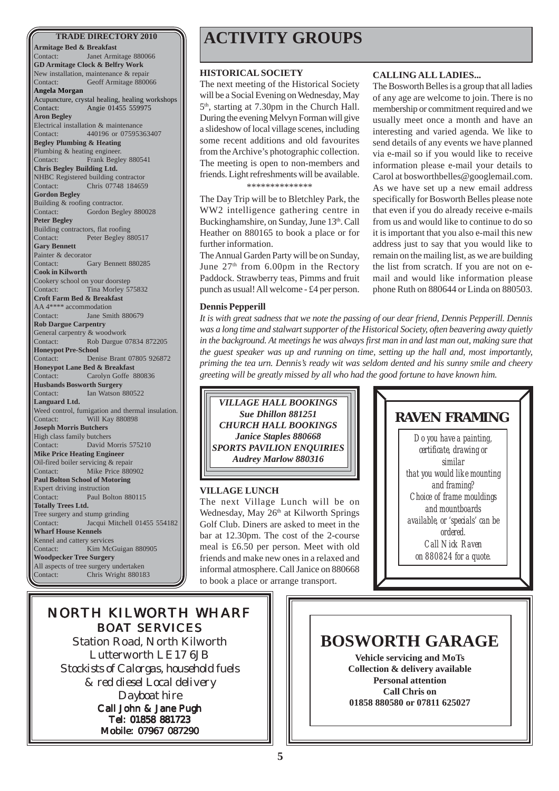**Armitage Bed & Breakfast** Contact: Janet Armitage 880066 **GD Armitage Clock & Belfry Work** New installation, maintenance & repair Contact: Geoff Armitage 880066 **Angela Morgan** Acupuncture, crystal healing, healing workshops Contact: Angie 01455 559975 **Aron Begley** Electrical installation & maintenance Contact: 440196 or 07595363407 **Begley Plumbing & Heating** Plumbing & heating engineer. Contact: Frank Begley 880541 **Chris Begley Building Ltd.** NHBC Registered building contractor Contact: Chris 07748 184659 **Gordon Begley** Building & roofing contractor. Contact: Gordon Begley 880028 **Peter Begley** Building contractors, flat roofing Contact: Peter Begley 880517 **Gary Bennett** Painter & decorator Contact: Gary Bennett 880285 **Cook in Kilworth** Cookery school on your doorstep Contact: Tina Morley 575832 **Croft Farm Bed & Breakfast** AA 4\*\*\*\* accommodation Contact: Jane Smith 880679 **Rob Dargue Carpentry** General carpentry & woodwork Contact: Rob Dargue 07834 872205 **Honeypot Pre-School** Contact: Denise Brant 07805 926872 **Honeypot Lane Bed & Breakfast** Contact: Carolyn Goffe 880836 **Husbands Bosworth Surgery** Contact: Ian Watson 880522 **Languard Ltd.** Weed control, fumigation and thermal insulation. Contact: Will Kay 880898 **Joseph Morris Butchers** High class family butchers Contact: David Morris 575210 **Mike Price Heating Engineer** Oil-fired boiler servicing & repair Contact: Mike Price 880902 **Paul Bolton School of Motoring** Expert driving instruction Contact: Paul Bolton 880115 **Totally Trees Ltd.** Tree surgery and stump grinding Contact: Jacqui Mitchell 01455 554182 **Wharf House Kennels** Kennel and cattery services Contact: Kim McGuigan 880905 **Woodpecker Tree Surgery** All aspects of tree surgery undertaken Contact: Chris Wright 880183

# **TRADE DIRECTORY 2010 ACTIVITY GROUPS**

#### **HISTORICAL SOCIETY**

The next meeting of the Historical Society will be a Social Evening on Wednesday, May 5<sup>th</sup>, starting at 7.30pm in the Church Hall. During the evening Melvyn Forman will give a slideshow of local village scenes, including some recent additions and old favourites from the Archive's photographic collection. The meeting is open to non-members and friends. Light refreshments will be available.

\*\*\*\*\*\*\*\*\*\*\*\*\*\*

The Day Trip will be to Bletchley Park, the WW2 intelligence gathering centre in Buckinghamshire, on Sunday, June 13<sup>th</sup>. Call Heather on 880165 to book a place or for further information.

The Annual Garden Party will be on Sunday, June  $27<sup>th</sup>$  from 6.00pm in the Rectory Paddock. Strawberry teas, Pimms and fruit punch as usual! All welcome - £4 per person.

#### **Dennis Pepperill**

#### **CALLING ALL LADIES...**

The Bosworth Belles is a group that all ladies of any age are welcome to join. There is no membership or commitment required and we usually meet once a month and have an interesting and varied agenda. We like to send details of any events we have planned via e-mail so if you would like to receive information please e-mail your details to Carol at bosworthbelles@googlemail.com. As we have set up a new email address specifically for Bosworth Belles please note that even if you do already receive e-mails from us and would like to continue to do so it is important that you also e-mail this new address just to say that you would like to remain on the mailing list, as we are building the list from scratch. If you are not on email and would like information please phone Ruth on 880644 or Linda on 880503.

*It is with great sadness that we note the passing of our dear friend, Dennis Pepperill. Dennis was a long time and stalwart supporter of the Historical Society, often beavering away quietly in the background. At meetings he was always first man in and last man out, making sure that the guest speaker was up and running on time, setting up the hall and, most importantly, priming the tea urn. Dennis's ready wit was seldom dented and his sunny smile and cheery greeting will be greatly missed by all who had the good fortune to have known him.*

*VILLAGE HALL BOOKINGS Sue Dhillon 881251 CHURCH HALL BOOKINGS Janice Staples 880668 SPORTS PAVILION ENQUIRIES Audrey Marlow 880316*

#### **VILLAGE LUNCH**

The next Village Lunch will be on Wednesday, May 26<sup>th</sup> at Kilworth Springs Golf Club. Diners are asked to meet in the bar at 12.30pm. The cost of the 2-course meal is £6.50 per person. Meet with old friends and make new ones in a relaxed and informal atmosphere. Call Janice on 880668 to book a place or arrange transport.



## NORTH KILWORTH WHARF BOAT SERVICES

Station Road, North Kilworth Lutterworth LE17 6JB *Stockists of Calorgas, household fuels & red diesel Local delivery Dayboat hire* Call John & Jane Pugh Tel: 01858 881723 Mobile: 07967 087290

**BOSWORTH GARAGE**

**Vehicle servicing and MoTs Collection & delivery available Personal attention Call Chris on 01858 880580 or 07811 625027**

**5**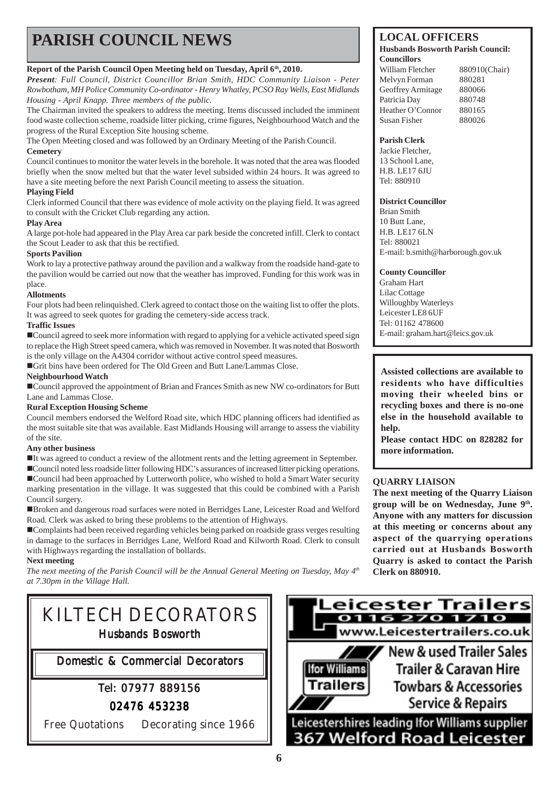# **PARISH COUNCIL NEWS** LOCAL OFFICERS

#### **Report of the Parish Council Open Meeting held on Tuesday, April 6th, 2010.**

*Present: Full Council, District Councillor Brian Smith, HDC Community Liaison - Peter Rowbotham, MH Police Community Co-ordinator - Henry Whatley, PCSO Ray Wells, East Midlands Housing - April Knapp. Three members of the public.*

The Chairman invited the speakers to address the meeting. Items discussed included the imminent food waste collection scheme, roadside litter picking, crime figures, Neighbourhood Watch and the progress of the Rural Exception Site housing scheme.

The Open Meeting closed and was followed by an Ordinary Meeting of the Parish Council.

#### **Cemetery**

Council continues to monitor the water levels in the borehole. It was noted that the area was flooded briefly when the snow melted but that the water level subsided within 24 hours. It was agreed to have a site meeting before the next Parish Council meeting to assess the situation.

#### **Playing Field**

Clerk informed Council that there was evidence of mole activity on the playing field. It was agreed to consult with the Cricket Club regarding any action.

#### **Play Area**

A large pot-hole had appeared in the Play Area car park beside the concreted infill. Clerk to contact the Scout Leader to ask that this be rectified.

#### **Sports Pavilion**

Work to lay a protective pathway around the pavilion and a walkway from the roadside hand-gate to the pavilion would be carried out now that the weather has improved. Funding for this work was in place.

#### **Allotments**

Four plots had been relinquished. Clerk agreed to contact those on the waiting list to offer the plots. It was agreed to seek quotes for grading the cemetery-side access track.

#### **Traffic Issues**

!Council agreed to seek more information with regard to applying for a vehicle activated speed sign to replace the High Street speed camera, which was removed in November. It was noted that Bosworth is the only village on the A4304 corridor without active control speed measures.

!Grit bins have been ordered for The Old Green and Butt Lane/Lammas Close.

#### **Neighbourhood Watch**

!Council approved the appointment of Brian and Frances Smith as new NW co-ordinators for Butt Lane and Lammas Close.

#### **Rural Exception Housing Scheme**

Council members endorsed the Welford Road site, which HDC planning officers had identified as the most suitable site that was available. East Midlands Housing will arrange to assess the viability of the site.

#### **Any other business**

!It was agreed to conduct a review of the allotment rents and the letting agreement in September.

!Council noted less roadside litter following HDC's assurances of increased litter picking operations. !Council had been approached by Lutterworth police, who wished to hold a Smart Water security marking presentation in the village. It was suggested that this could be combined with a Parish Council surgery.

!Broken and dangerous road surfaces were noted in Berridges Lane, Leicester Road and Welford Road. Clerk was asked to bring these problems to the attention of Highways.

!Complaints had been received regarding vehicles being parked on roadside grass verges resulting in damage to the surfaces in Berridges Lane, Welford Road and Kilworth Road. Clerk to consult with Highways regarding the installation of bollards.

#### **Next meeting**

*The next meeting of the Parish Council will be the Annual General Meeting on Tuesday, May 4th at 7.30pm in the Village Hall.*



#### **Husbands Bosworth Parish Council: Councillors**

William Fletcher 880910(Chair) Melvyn Forman 880281 Geoffrey Armitage 880066 Patricia Day 880748 Heather O'Connor 880165 Susan Fisher 880026

#### **Parish Clerk**

Jackie Fletcher, 13 School Lane, H.B. LE17 6JU Tel: 880910

#### **District Councillor**

Brian Smith 10 Butt Lane, H.B. LE17 6LN Tel: 880021 E-mail: b.smith@harborough.gov.uk

#### **County Councillor**

Graham Hart Lilac Cottage Willoughby Waterleys Leicester LE8 6UF Tel: 01162 478600 E-mail: graham.hart@leics.gov.uk

**Assisted collections are available to residents who have difficulties moving their wheeled bins or recycling boxes and there is no-one else in the household available to help.**

**Please contact HDC on 828282 for more information.**

#### **QUARRY LIAISON**

**The next meeting of the Quarry Liaison group will be on Wednesday, June 9th. Anyone with any matters for discussion at this meeting or concerns about any aspect of the quarrying operations carried out at Husbands Bosworth Quarry is asked to contact the Parish Clerk on 880910.**

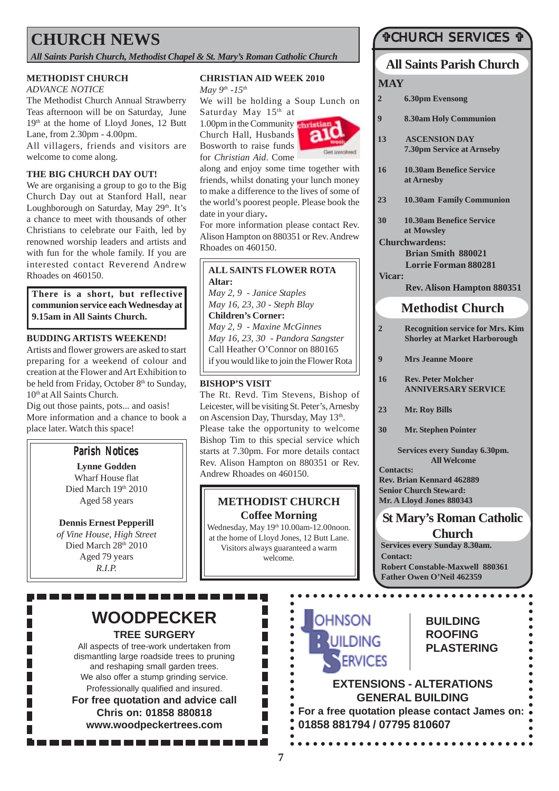# **CHURCH NEWS**

*All Saints Parish Church, Methodist Chapel & St. Mary's Roman Catholic Church*

#### **METHODIST CHURCH**

*ADVANCE NOTICE*

The Methodist Church Annual Strawberry Teas afternoon will be on Saturday, June  $19<sup>th</sup>$  at the home of Lloyd Jones, 12 Butt Lane, from 2.30pm - 4.00pm.

All villagers, friends and visitors are welcome to come along.

#### **THE BIG CHURCH DAY OUT!**

We are organising a group to go to the Big Church Day out at Stanford Hall, near Loughborough on Saturday, May 29th. It's a chance to meet with thousands of other Christians to celebrate our Faith, led by renowned worship leaders and artists and with fun for the whole family. If you are interested contact Reverend Andrew Rhoades on 460150.

**There is a short, but reflective communion service each Wednesday at 9.15am in All Saints Church.**

#### **BUDDING ARTISTS WEEKEND!**

Artists and flower growers are asked to start preparing for a weekend of colour and creation at the Flower and Art Exhibition to be held from Friday, October 8<sup>th</sup> to Sunday, 10<sup>th</sup> at All Saints Church.

Dig out those paints, pots... and oasis! More information and a chance to book a place later. Watch this space!

#### Parish Notices

**Lynne Godden** Wharf House flat Died March 19th 2010 Aged 58 years

### **Dennis Ernest Pepperill**

*of Vine House, High Street* Died March 28th 2010 Aged 79 years *R.I.P.*

#### **CHRISTIAN AID WEEK 2010**

*May 9th -15th*

We will be holding a Soup Lunch on Saturday May 15<sup>th</sup> at

1.00pm in the Community Church Hall, Husbands Bosworth to raise funds for *Christian Aid*. Come



along and enjoy some time together with friends, whilst donating your lunch money to make a difference to the lives of some of the world's poorest people. Please book the date in your diary**.**

For more information please contact Rev. Alison Hampton on 880351 or Rev. Andrew Rhoades on 460150.

#### **ALL SAINTS FLOWER ROTA Altar:**

*May 2, 9 - Janice Staples May 16, 23, 30 - Steph Blay* **Children's Corner:** *May 2, 9 - Maxine McGinnes May 16, 23, 30 - Pandora Sangster* Call Heather O'Connor on 880165 if you would like to join the Flower Rota

#### **BISHOP'S VISIT**

The Rt. Revd. Tim Stevens, Bishop of Leicester, will be visiting St. Peter's, Arnesby on Ascension Day, Thursday, May 13th. Please take the opportunity to welcome Bishop Tim to this special service which starts at 7.30pm. For more details contact Rev. Alison Hampton on 880351 or Rev. Andrew Rhoades on 460150.

#### **METHODIST CHURCH Coffee Morning**

Wednesday, May 19<sup>th</sup> 10.00am-12.00noon. at the home of Lloyd Jones, 12 Butt Lane. Visitors always guaranteed a warm welcome.

> $\bullet$  $\bullet$  $\bullet$

> $\bullet$  $\bullet$

#### **CHURCH SERVICES T**

# **All Saints Parish Church**

#### **MAY**

- **2 6.30pm Evensong**
- **9 8.30am Holy Communion**
- **13 ASCENSION DAY 7.30pm Service at Arnseby**
- **16 10.30am Benefice Service at Arnesby**
- **23 10.30am Family Communion**
- **30 10.30am Benefice Service at Mowsley**
- **Churchwardens: Brian Smith 880021**
- **Lorrie Forman 880281 Vicar:**
	- **Rev. Alison Hampton 880351**

#### **Methodist Church**

- **2 Recognition service for Mrs. Kim Shorley at Market Harborough**
- **9 Mrs Jeanne Moore**
- **16 Rev. Peter Molcher ANNIVERSARY SERVICE**
- **23 Mr. Roy Bills**
- **30 Mr. Stephen Pointer**

**Services every Sunday 6.30pm. All Welcome**

**Contacts: Rev. Brian Kennard 462889 Senior Church Steward: Mr. A Lloyd Jones 880343**

# **St Mary's Roman Catholic**

**Church Services every Sunday 8.30am. Contact:**

**Robert Constable-Maxwell 880361 Father Owen O'Neil 462359**

#### **WOODPECKER TREE SURGERY**

----------------

All aspects of tree-work undertaken from dismantling large roadside trees to pruning and reshaping small garden trees. We also offer a stump grinding service. Professionally qualified and insured. **For free quotation and advice call Chris on: 01858 880818 www.woodpeckertrees.com**

# **OHNSON**

#### **BUILDING ROOFING PLASTERING**

**EXTENSIONS - ALTERATIONS GENERAL BUILDING**

**For a free quotation please contact James on: 01858 881794 / 07795 810607**